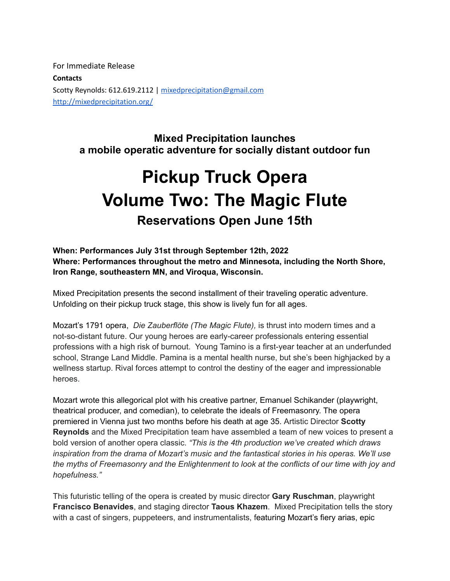For Immediate Release **Contacts** Scotty Reynolds: 612.619.2112 | [mixedprecipitation@g](mailto:sreynolds@mixedprecipitation.org)mail.com [http://mixedprecipitation.org/](http://mixedprecipitation.org/summer-2021-dates/)

> **Mixed Precipitation launches a mobile operatic adventure for socially distant outdoor fun**

# **Pickup Truck Opera Volume Two: The Magic Flute Reservations Open June 15th**

## **When: Performances July 31st through September 12th, 2022 Where: Performances throughout the metro and Minnesota, including the North Shore, Iron Range, southeastern MN, and Viroqua, Wisconsin.**

Mixed Precipitation presents the second installment of their traveling operatic adventure. Unfolding on their pickup truck stage, this show is lively fun for all ages.

Mozart's 1791 opera, *Die Zauberflöte (The Magic Flute),* is thrust into modern times and a not-so-distant future. Our young heroes are early-career professionals entering essential professions with a high risk of burnout. Young Tamino is a first-year teacher at an underfunded school, Strange Land Middle. Pamina is a mental health nurse, but she's been highjacked by a wellness startup. Rival forces attempt to control the destiny of the eager and impressionable heroes.

Mozart wrote this allegorical plot with his creative partner, Emanuel Schikander (playwright, theatrical producer, and comedian), to celebrate the ideals of Freemasonry. The opera premiered in Vienna just two months before his death at age 35. Artistic Director **Scotty Reynolds** and the Mixed Precipitation team have assembled a team of new voices to present a bold version of another opera classic. *"This is the 4th production we've created which draws inspiration from the drama of Mozart's music and the fantastical stories in his operas. We'll use the myths of Freemasonry and the Enlightenment to look at the conflicts of our time with joy and hopefulness."*

This futuristic telling of the opera is created by music director **Gary Ruschman**, playwright **Francisco Benavides**, and staging director **Taous Khazem**. Mixed Precipitation tells the story with a cast of singers, puppeteers, and instrumentalists, featuring Mozart's fiery arias, epic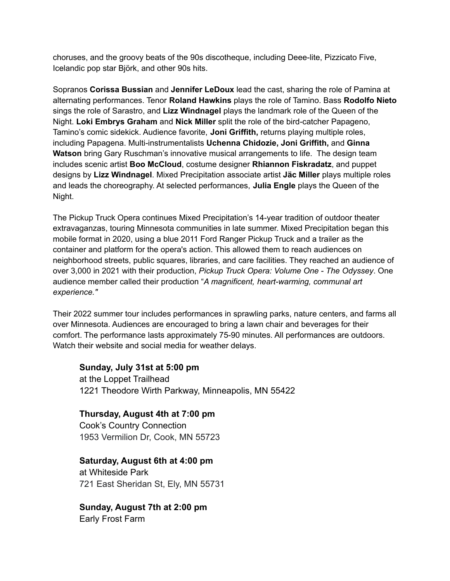choruses, and the groovy beats of the 90s discotheque, including Deee-lite, Pizzicato Five, Icelandic pop star Björk, and other 90s hits.

Sopranos **Corissa Bussian** and **Jennifer LeDoux** lead the cast, sharing the role of Pamina at alternating performances. Tenor **Roland Hawkins** plays the role of Tamino. Bass **Rodolfo Nieto** sings the role of Sarastro, and **Lizz Windnagel** plays the landmark role of the Queen of the Night. **Loki Embrys Graham** and **Nick Miller** split the role of the bird-catcher Papageno, Tamino's comic sidekick. Audience favorite, **Joni Griffith,** returns playing multiple roles, including Papagena. Multi-instrumentalists **Uchenna Chidozie, Joni Griffith,** and **Ginna Watson** bring Gary Ruschman's innovative musical arrangements to life. The design team includes scenic artist **Boo McCloud**, costume designer **Rhiannon Fiskradatz**, and puppet designs by **Lizz Windnagel**. Mixed Precipitation associate artist **Jäc Miller** plays multiple roles and leads the choreography. At selected performances, **Julia Engle** plays the Queen of the Night.

The Pickup Truck Opera continues Mixed Precipitation's 14-year tradition of outdoor theater extravaganzas, touring Minnesota communities in late summer. Mixed Precipitation began this mobile format in 2020, using a blue 2011 Ford Ranger Pickup Truck and a trailer as the container and platform for the opera's action. This allowed them to reach audiences on neighborhood streets, public squares, libraries, and care facilities. They reached an audience of over 3,000 in 2021 with their production, *Pickup Truck Opera: Volume One - The Odyssey*. One audience member called their production "*A magnificent, heart-warming, communal art experience."*

Their 2022 summer tour includes performances in sprawling parks, nature centers, and farms all over Minnesota. Audiences are encouraged to bring a lawn chair and beverages for their comfort. The performance lasts approximately 75-90 minutes. All performances are outdoors. Watch their website and social media for weather delays.

## **Sunday, July 31st at 5:00 pm**

at the Loppet Trailhead 1221 Theodore Wirth Parkway, Minneapolis, MN 55422

## **Thursday, August 4th at 7:00 pm**

Cook's Country Connection 1953 Vermilion Dr, Cook, MN 55723

# **Saturday, August 6th at 4:00 pm**

at Whiteside Park 721 East Sheridan St, Ely, MN 55731

## **Sunday, August 7th at 2:00 pm**

Early Frost Farm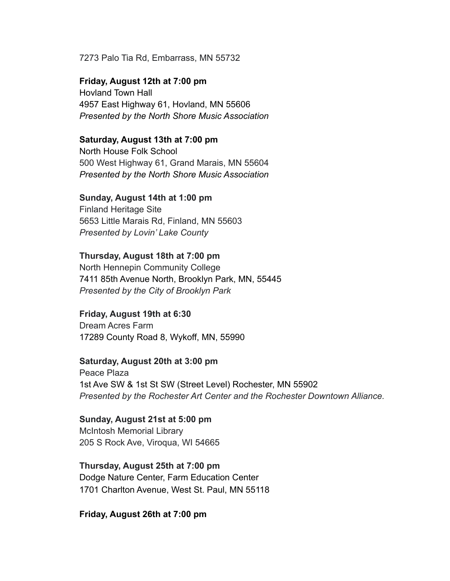#### 7273 Palo Tia Rd, Embarrass, MN 55732

**Friday, August 12th at 7:00 pm** Hovland Town Hall 4957 East Highway 61, Hovland, MN 55606 *Presented by the North Shore Music Association*

#### **Saturday, August 13th at 7:00 pm**

North House Folk School 500 West Highway 61, Grand Marais, MN 55604 *Presented by the North Shore Music Association*

#### **Sunday, August 14th at 1:00 pm**

Finland Heritage Site 5653 Little Marais Rd, Finland, MN 55603 *Presented by Lovin' Lake County*

#### **Thursday, August 18th at 7:00 pm**

North Hennepin Community College 7411 85th Avenue North, Brooklyn Park, MN, 55445 *Presented by the City of Brooklyn Park*

#### **Friday, August 19th at 6:30**

Dream Acres Farm 17289 County Road 8, Wykoff, MN, 55990

## **Saturday, August 20th at 3:00 pm**

Peace Plaza 1st Ave SW & 1st St SW (Street Level) Rochester, MN 55902 *Presented by the Rochester Art Center and the Rochester Downtown Alliance.*

## **Sunday, August 21st at 5:00 pm** McIntosh Memorial Library 205 S Rock Ave, Viroqua, WI 54665

**Thursday, August 25th at 7:00 pm** Dodge Nature Center, Farm Education Center 1701 Charlton Avenue, West St. Paul, MN 55118

#### **Friday, August 26th at 7:00 pm**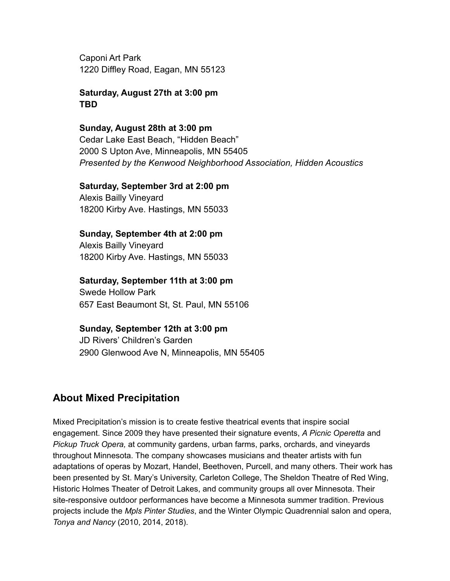Caponi Art Park 1220 Diffley Road, Eagan, MN 55123

**Saturday, August 27th at 3:00 pm TBD**

**Sunday, August 28th at 3:00 pm** Cedar Lake East Beach, "Hidden Beach" 2000 S Upton Ave, Minneapolis, MN 55405 *Presented by the Kenwood Neighborhood Association, Hidden Acoustics*

## **Saturday, September 3rd at 2:00 pm**

Alexis Bailly Vineyard 18200 Kirby Ave. Hastings, MN 55033

## **Sunday, September 4th at 2:00 pm**

Alexis Bailly Vineyard 18200 Kirby Ave. Hastings, MN 55033

## **Saturday, September 11th at 3:00 pm**

Swede Hollow Park 657 East Beaumont St, St. Paul, MN 55106

## **Sunday, September 12th at 3:00 pm**

JD Rivers' Children's Garden 2900 Glenwood Ave N, Minneapolis, MN 55405

# **About Mixed Precipitation**

Mixed Precipitation's mission is to create festive theatrical events that inspire social engagement. Since 2009 they have presented their signature events, *A Picnic Operetta* and *Pickup Truck Opera,* at community gardens, urban farms, parks, orchards, and vineyards throughout Minnesota. The company showcases musicians and theater artists with fun adaptations of operas by Mozart, Handel, Beethoven, Purcell, and many others. Their work has been presented by St. Mary's University, Carleton College, The Sheldon Theatre of Red Wing, Historic Holmes Theater of Detroit Lakes, and community groups all over Minnesota. Their site-responsive outdoor performances have become a Minnesota summer tradition. Previous projects include the *Mpls Pinter Studies*, and the Winter Olympic Quadrennial salon and opera, *Tonya and Nancy* (2010, 2014, 2018).